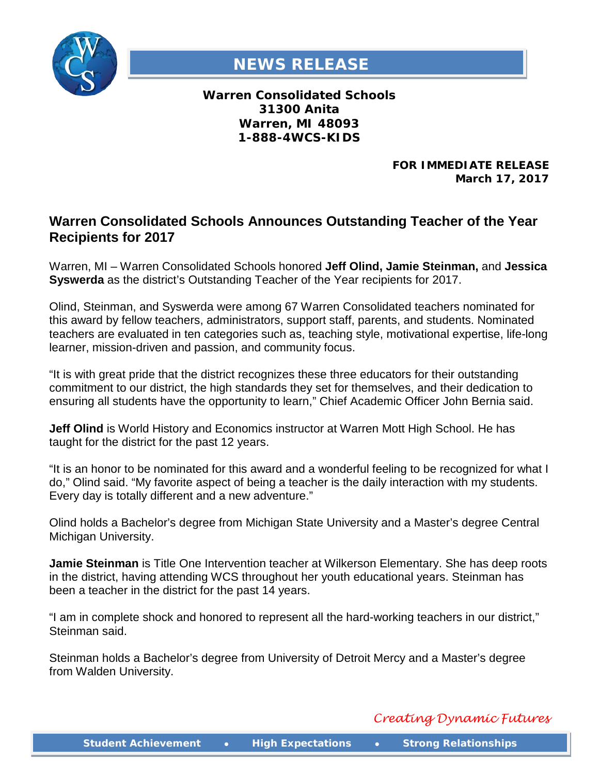

## **NEWS RELEASE**

**Warren Consolidated Schools 31300 Anita Warren, MI 48093 1-888-4WCS-KIDS**

> **FOR IMMEDIATE RELEASE March 17, 2017**

## **Warren Consolidated Schools Announces Outstanding Teacher of the Year Recipients for 2017**

Warren, MI – Warren Consolidated Schools honored **Jeff Olind, Jamie Steinman,** and **Jessica Syswerda** as the district's Outstanding Teacher of the Year recipients for 2017.

Olind, Steinman, and Syswerda were among 67 Warren Consolidated teachers nominated for this award by fellow teachers, administrators, support staff, parents, and students. Nominated teachers are evaluated in ten categories such as, teaching style, motivational expertise, life-long learner, mission-driven and passion, and community focus.

"It is with great pride that the district recognizes these three educators for their outstanding commitment to our district, the high standards they set for themselves, and their dedication to ensuring all students have the opportunity to learn," Chief Academic Officer John Bernia said.

**Jeff Olind** is World History and Economics instructor at Warren Mott High School. He has taught for the district for the past 12 years.

"It is an honor to be nominated for this award and a wonderful feeling to be recognized for what I do," Olind said. "My favorite aspect of being a teacher is the daily interaction with my students. Every day is totally different and a new adventure."

Olind holds a Bachelor's degree from Michigan State University and a Master's degree Central Michigan University.

**Jamie Steinman** is Title One Intervention teacher at Wilkerson Elementary. She has deep roots in the district, having attending WCS throughout her youth educational years. Steinman has been a teacher in the district for the past 14 years.

"I am in complete shock and honored to represent all the hard-working teachers in our district," Steinman said.

Steinman holds a Bachelor's degree from University of Detroit Mercy and a Master's degree from Walden University.

*Creating Dynamic Futures*